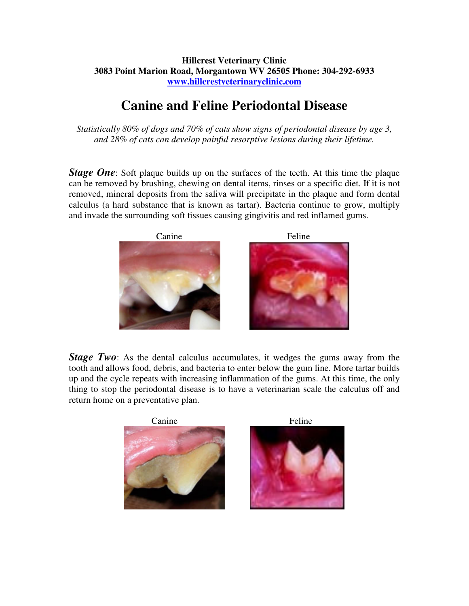## **Hillcrest Veterinary Clinic 3083 Point Marion Road, Morgantown WV 26505 Phone: 304-292-6933 www.hillcrestveterinaryclinic.com**

## **Canine and Feline Periodontal Disease**

*Statistically 80% of dogs and 70% of cats show signs of periodontal disease by age 3, and 28% of cats can develop painful resorptive lesions during their lifetime.* 

*Stage One*: Soft plaque builds up on the surfaces of the teeth. At this time the plaque can be removed by brushing, chewing on dental items, rinses or a specific diet. If it is not removed, mineral deposits from the saliva will precipitate in the plaque and form dental calculus (a hard substance that is known as tartar). Bacteria continue to grow, multiply and invade the surrounding soft tissues causing gingivitis and red inflamed gums.



*Stage Two*: As the dental calculus accumulates, it wedges the gums away from the tooth and allows food, debris, and bacteria to enter below the gum line. More tartar builds up and the cycle repeats with increasing inflammation of the gums. At this time, the only thing to stop the periodontal disease is to have a veterinarian scale the calculus off and return home on a preventative plan.